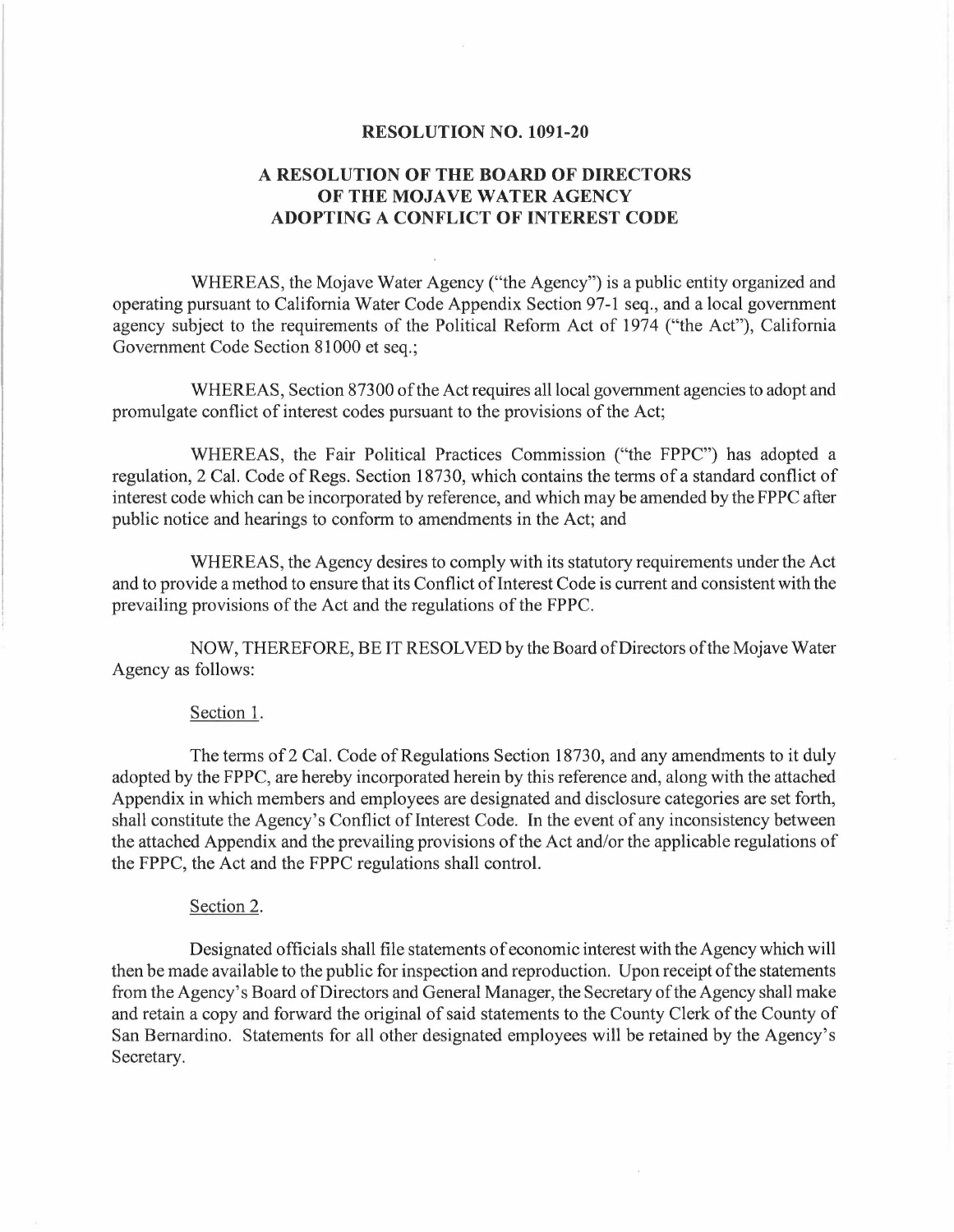#### **RESOLUTION NO. 1091-20**

## **A RESOLUTION OF THE BOARD OF DIRECTORS OF THE MOJAVE WATER AGENCY ADOPTING A CONFLICT OF INTEREST CODE**

WHEREAS, the Mojave Water Agency ("the Agency") is a public entity organized and operating pursuant to California Water Code Appendix Section 97-1 seq., and a local government agency subject to the requirements of the Political Reform Act of 1974 ("the Act"), California Government Code Section 81000 et seq.;

WHEREAS, Section 87300 of the Act requires all local government agencies to adopt and promulgate conflict of interest codes pursuant to the provisions of the Act;

WHEREAS, the Fair Political Practices Commission ("the FPPC") has adopted a regulation, 2 Cal. Code of Regs. Section 18730, which contains the terms of a standard conflict of interest code which can be incorporated by reference, and which may be amended by the FPPC after public notice and hearings to conform to amendments in the Act; and

WHEREAS, the Agency desires to comply with its statutory requirements under the Act and to provide a method to ensure that its Conflict of Interest Code is current and consistent with the prevailing provisions of the Act and the regulations of the FPPC.

NOW, THEREFORE, BE IT RESOLVED by the Board of Directors of the Mojave Water Agency as follows:

#### Section 1.

The terms of2 Cal. Code of Regulations Section 18730, and any amendments to it duly adopted by the FPPC, are hereby incorporated herein by this reference and, along with the attached Appendix in which members and employees are designated and disclosure categories are set forth, shall constitute the Agency's Conflict of Interest Code. In the event of any inconsistency between the attached Appendix and the prevailing provisions of the Act and/or the applicable regulations of the FPPC, the Act and the FPPC regulations shall control.

#### Section 2.

Designated officials shall file statements of economic interest with the Agency which will then be made available to the public for inspection and reproduction. Upon receipt of the statements from the Agency's Board of Directors and General Manager, the Secretary of the Agency shall make and retain a copy and forward the original of said statements to the County Clerk of the County of San Bernardino. Statements for all other designated employees will be retained by the Agency's Secretary.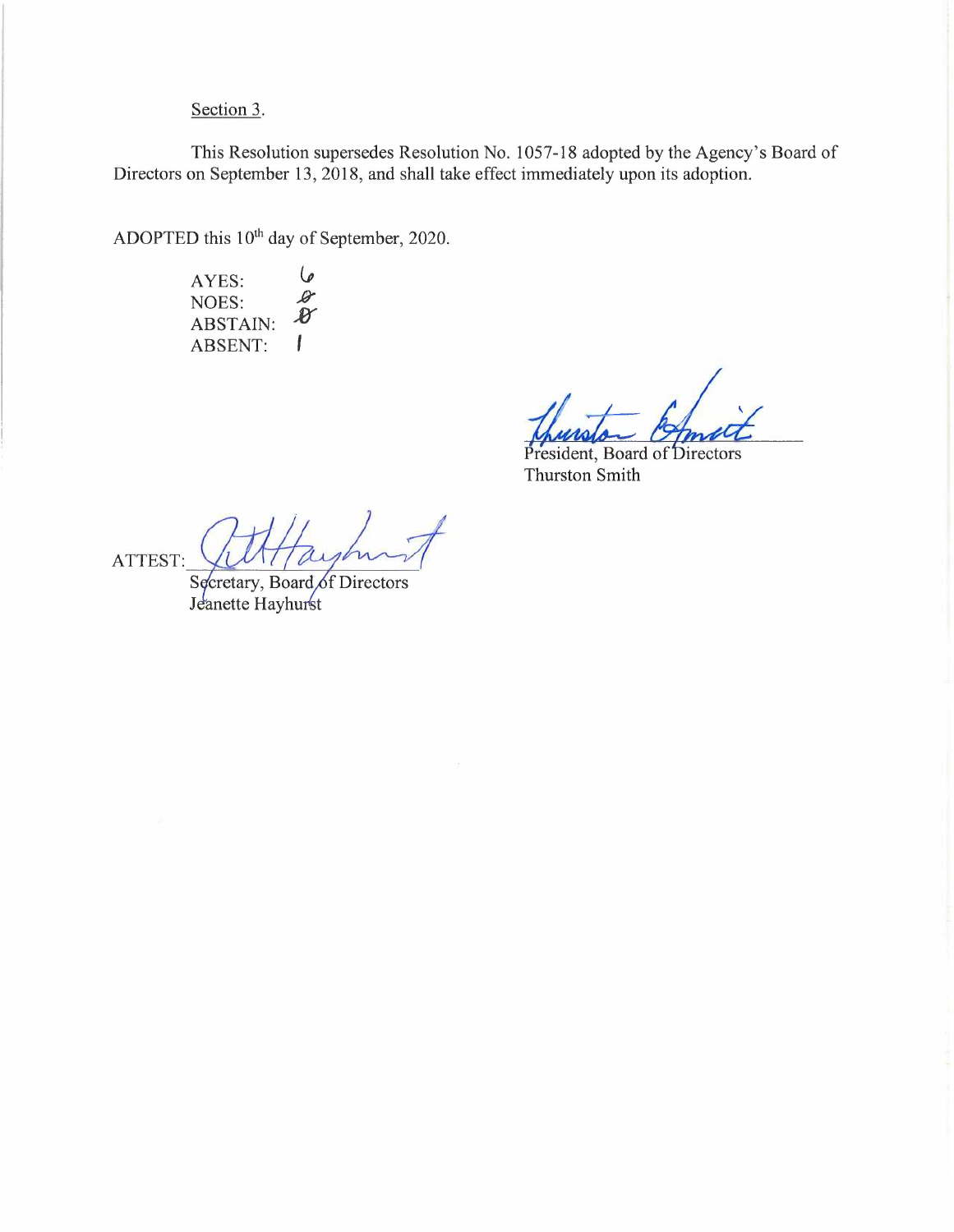# Section 3.

This Resolution supersedes Resolution No. 1057-18 adopted by the Agency's Board of Directors on September 13, 2018, and shall take effect immediately upon its adoption.

ADOPTED this 10<sup>th</sup> day of September, 2020.

 $\mathcal G$ AYES:  $\mathscr{L}$ NOES:  $\mathcal{B}$ ABSTAIN: ABSENT:  $\overline{1}$ 

President, Board of Directors Thurston Smith

ATTEST: WITTAY

Jeanette Hayhurst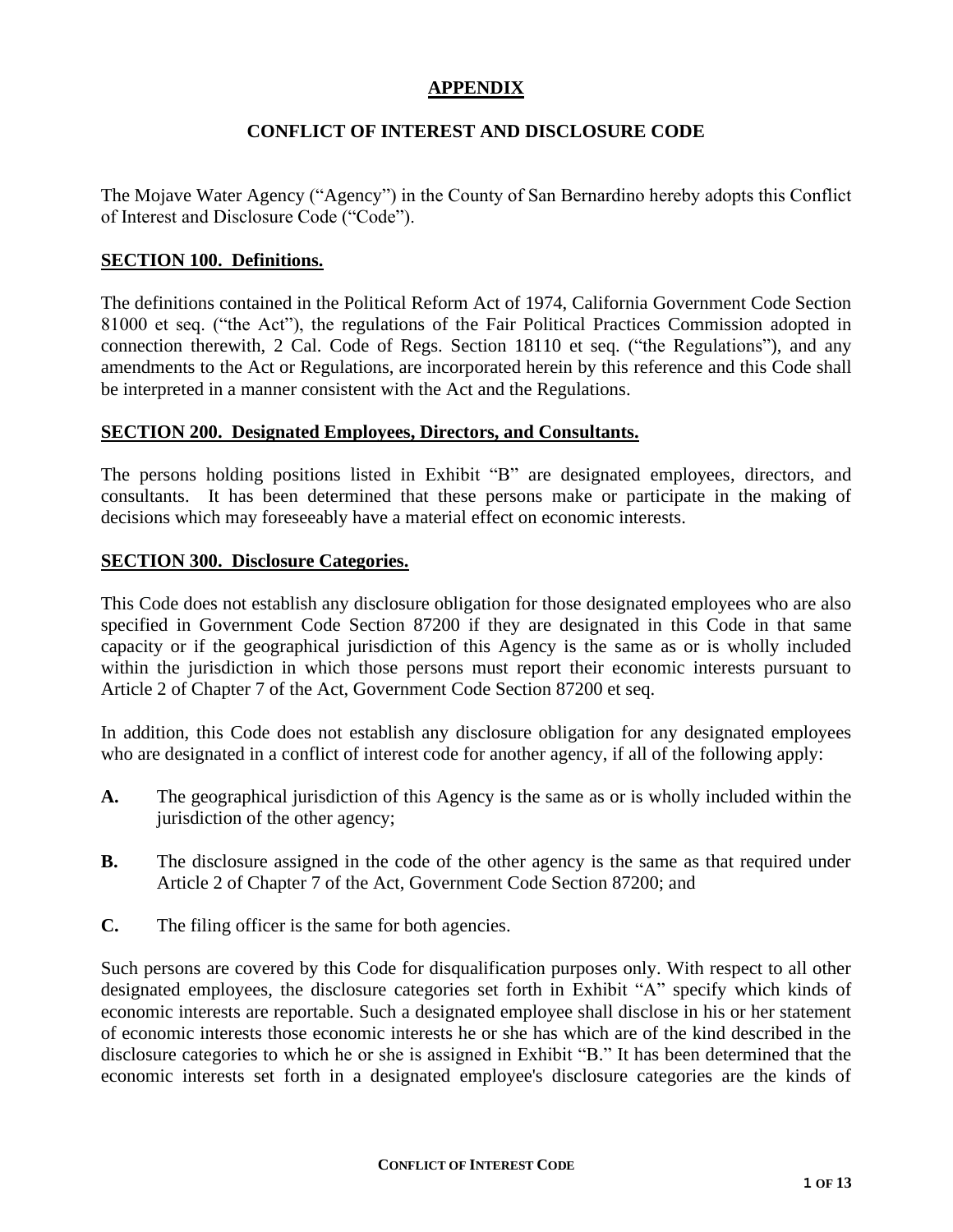## **APPENDIX**

## **CONFLICT OF INTEREST AND DISCLOSURE CODE**

The Mojave Water Agency ("Agency") in the County of San Bernardino hereby adopts this Conflict of Interest and Disclosure Code ("Code").

#### **SECTION 100. Definitions.**

The definitions contained in the Political Reform Act of 1974, California Government Code Section 81000 et seq. ("the Act"), the regulations of the Fair Political Practices Commission adopted in connection therewith, 2 Cal. Code of Regs. Section 18110 et seq. ("the Regulations"), and any amendments to the Act or Regulations, are incorporated herein by this reference and this Code shall be interpreted in a manner consistent with the Act and the Regulations.

#### **SECTION 200. Designated Employees, Directors, and Consultants.**

The persons holding positions listed in Exhibit "B" are designated employees, directors, and consultants. It has been determined that these persons make or participate in the making of decisions which may foreseeably have a material effect on economic interests.

#### **SECTION 300. Disclosure Categories.**

This Code does not establish any disclosure obligation for those designated employees who are also specified in Government Code Section 87200 if they are designated in this Code in that same capacity or if the geographical jurisdiction of this Agency is the same as or is wholly included within the jurisdiction in which those persons must report their economic interests pursuant to Article 2 of Chapter 7 of the Act, Government Code Section 87200 et seq.

In addition, this Code does not establish any disclosure obligation for any designated employees who are designated in a conflict of interest code for another agency, if all of the following apply:

- **A.** The geographical jurisdiction of this Agency is the same as or is wholly included within the jurisdiction of the other agency;
- **B.** The disclosure assigned in the code of the other agency is the same as that required under Article 2 of Chapter 7 of the Act, Government Code Section 87200; and
- **C.** The filing officer is the same for both agencies.

Such persons are covered by this Code for disqualification purposes only. With respect to all other designated employees, the disclosure categories set forth in Exhibit "A" specify which kinds of economic interests are reportable. Such a designated employee shall disclose in his or her statement of economic interests those economic interests he or she has which are of the kind described in the disclosure categories to which he or she is assigned in Exhibit "B." It has been determined that the economic interests set forth in a designated employee's disclosure categories are the kinds of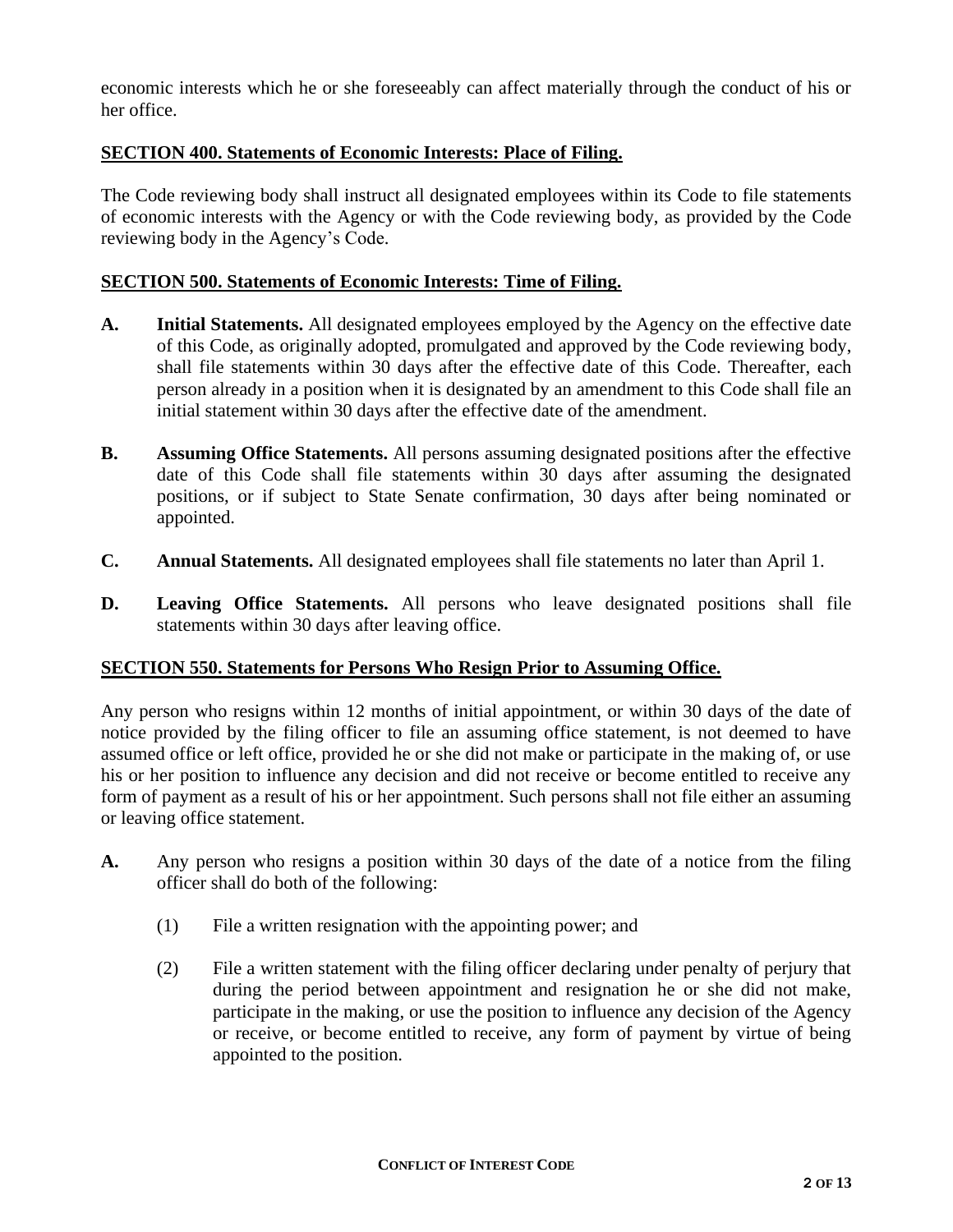economic interests which he or she foreseeably can affect materially through the conduct of his or her office.

## **SECTION 400. Statements of Economic Interests: Place of Filing.**

The Code reviewing body shall instruct all designated employees within its Code to file statements of economic interests with the Agency or with the Code reviewing body, as provided by the Code reviewing body in the Agency's Code.

## **SECTION 500. Statements of Economic Interests: Time of Filing.**

- **A. Initial Statements.** All designated employees employed by the Agency on the effective date of this Code, as originally adopted, promulgated and approved by the Code reviewing body, shall file statements within 30 days after the effective date of this Code. Thereafter, each person already in a position when it is designated by an amendment to this Code shall file an initial statement within 30 days after the effective date of the amendment.
- **B. Assuming Office Statements.** All persons assuming designated positions after the effective date of this Code shall file statements within 30 days after assuming the designated positions, or if subject to State Senate confirmation, 30 days after being nominated or appointed.
- **C. Annual Statements.** All designated employees shall file statements no later than April 1.
- **D. Leaving Office Statements.** All persons who leave designated positions shall file statements within 30 days after leaving office.

#### **SECTION 550. Statements for Persons Who Resign Prior to Assuming Office.**

Any person who resigns within 12 months of initial appointment, or within 30 days of the date of notice provided by the filing officer to file an assuming office statement, is not deemed to have assumed office or left office, provided he or she did not make or participate in the making of, or use his or her position to influence any decision and did not receive or become entitled to receive any form of payment as a result of his or her appointment. Such persons shall not file either an assuming or leaving office statement.

- **A.** Any person who resigns a position within 30 days of the date of a notice from the filing officer shall do both of the following:
	- (1) File a written resignation with the appointing power; and
	- (2) File a written statement with the filing officer declaring under penalty of perjury that during the period between appointment and resignation he or she did not make, participate in the making, or use the position to influence any decision of the Agency or receive, or become entitled to receive, any form of payment by virtue of being appointed to the position.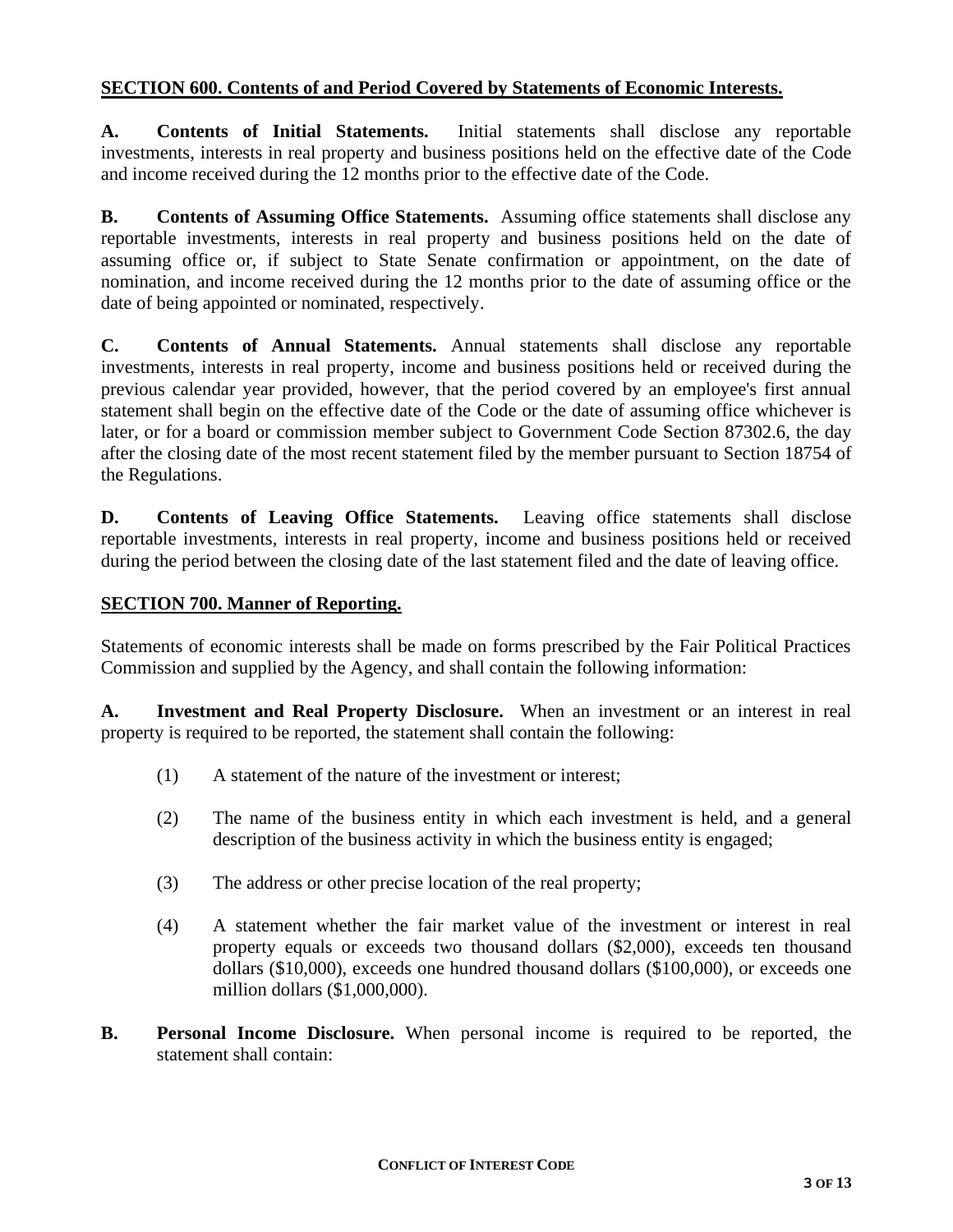## **SECTION 600. Contents of and Period Covered by Statements of Economic Interests.**

**A. Contents of Initial Statements.** Initial statements shall disclose any reportable investments, interests in real property and business positions held on the effective date of the Code and income received during the 12 months prior to the effective date of the Code.

**B. Contents of Assuming Office Statements.** Assuming office statements shall disclose any reportable investments, interests in real property and business positions held on the date of assuming office or, if subject to State Senate confirmation or appointment, on the date of nomination, and income received during the 12 months prior to the date of assuming office or the date of being appointed or nominated, respectively.

**C. Contents of Annual Statements.** Annual statements shall disclose any reportable investments, interests in real property, income and business positions held or received during the previous calendar year provided, however, that the period covered by an employee's first annual statement shall begin on the effective date of the Code or the date of assuming office whichever is later, or for a board or commission member subject to Government Code Section 87302.6, the day after the closing date of the most recent statement filed by the member pursuant to Section 18754 of the Regulations.

**D. Contents of Leaving Office Statements.** Leaving office statements shall disclose reportable investments, interests in real property, income and business positions held or received during the period between the closing date of the last statement filed and the date of leaving office.

#### **SECTION 700. Manner of Reporting.**

Statements of economic interests shall be made on forms prescribed by the Fair Political Practices Commission and supplied by the Agency, and shall contain the following information:

**A. Investment and Real Property Disclosure.** When an investment or an interest in real property is required to be reported, the statement shall contain the following:

- (1) A statement of the nature of the investment or interest;
- (2) The name of the business entity in which each investment is held, and a general description of the business activity in which the business entity is engaged;
- (3) The address or other precise location of the real property;
- (4) A statement whether the fair market value of the investment or interest in real property equals or exceeds two thousand dollars (\$2,000), exceeds ten thousand dollars (\$10,000), exceeds one hundred thousand dollars (\$100,000), or exceeds one million dollars (\$1,000,000).
- **B. Personal Income Disclosure.** When personal income is required to be reported, the statement shall contain: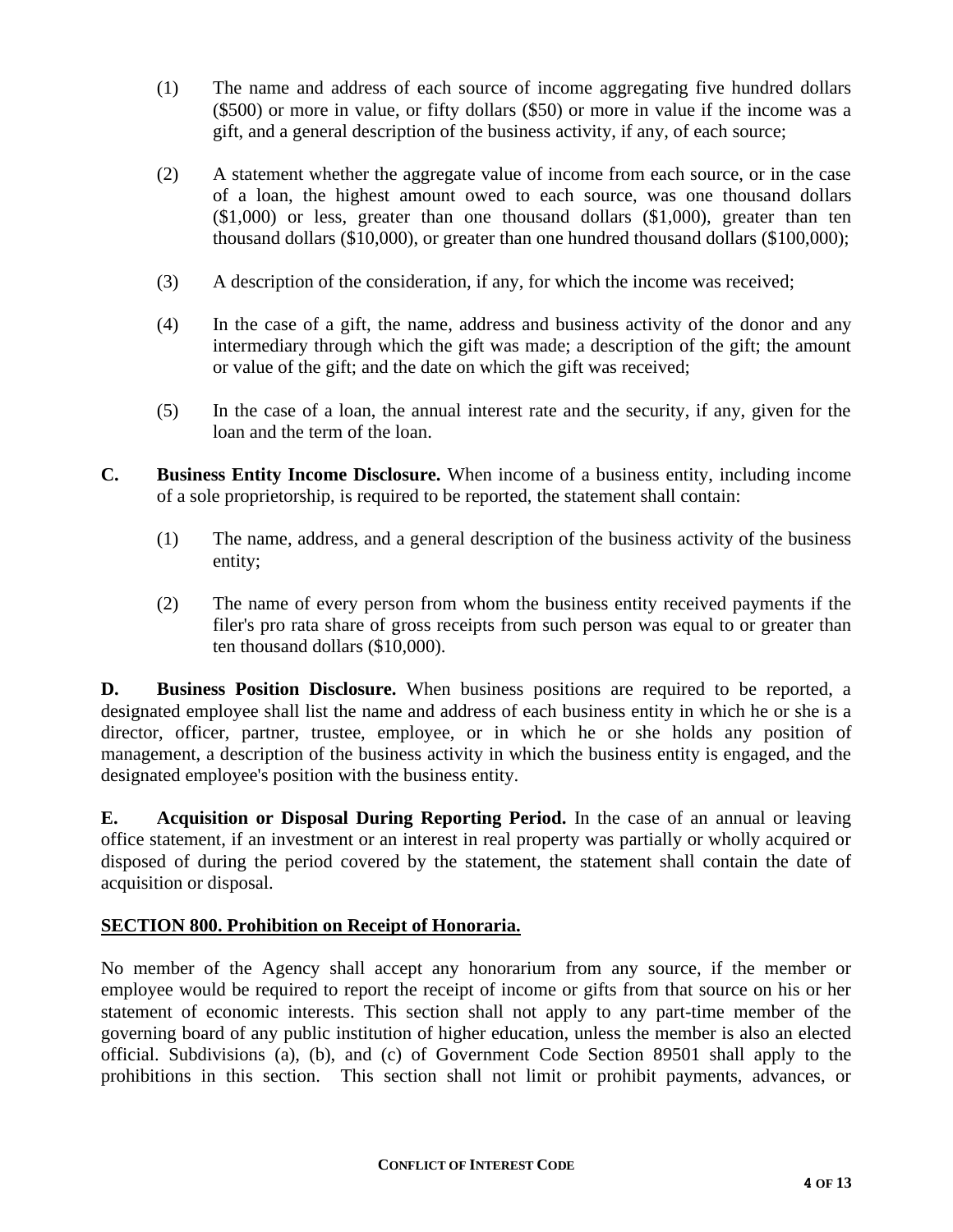- (1) The name and address of each source of income aggregating five hundred dollars (\$500) or more in value, or fifty dollars (\$50) or more in value if the income was a gift, and a general description of the business activity, if any, of each source;
- (2) A statement whether the aggregate value of income from each source, or in the case of a loan, the highest amount owed to each source, was one thousand dollars (\$1,000) or less, greater than one thousand dollars (\$1,000), greater than ten thousand dollars (\$10,000), or greater than one hundred thousand dollars (\$100,000);
- (3) A description of the consideration, if any, for which the income was received;
- (4) In the case of a gift, the name, address and business activity of the donor and any intermediary through which the gift was made; a description of the gift; the amount or value of the gift; and the date on which the gift was received;
- (5) In the case of a loan, the annual interest rate and the security, if any, given for the loan and the term of the loan.
- **C. Business Entity Income Disclosure.** When income of a business entity, including income of a sole proprietorship, is required to be reported, the statement shall contain:
	- (1) The name, address, and a general description of the business activity of the business entity;
	- (2) The name of every person from whom the business entity received payments if the filer's pro rata share of gross receipts from such person was equal to or greater than ten thousand dollars (\$10,000).

**D. Business Position Disclosure.** When business positions are required to be reported, a designated employee shall list the name and address of each business entity in which he or she is a director, officer, partner, trustee, employee, or in which he or she holds any position of management, a description of the business activity in which the business entity is engaged, and the designated employee's position with the business entity.

**E. Acquisition or Disposal During Reporting Period.** In the case of an annual or leaving office statement, if an investment or an interest in real property was partially or wholly acquired or disposed of during the period covered by the statement, the statement shall contain the date of acquisition or disposal.

## **SECTION 800. Prohibition on Receipt of Honoraria.**

No member of the Agency shall accept any honorarium from any source, if the member or employee would be required to report the receipt of income or gifts from that source on his or her statement of economic interests. This section shall not apply to any part-time member of the governing board of any public institution of higher education, unless the member is also an elected official. Subdivisions (a), (b), and (c) of Government Code Section 89501 shall apply to the prohibitions in this section. This section shall not limit or prohibit payments, advances, or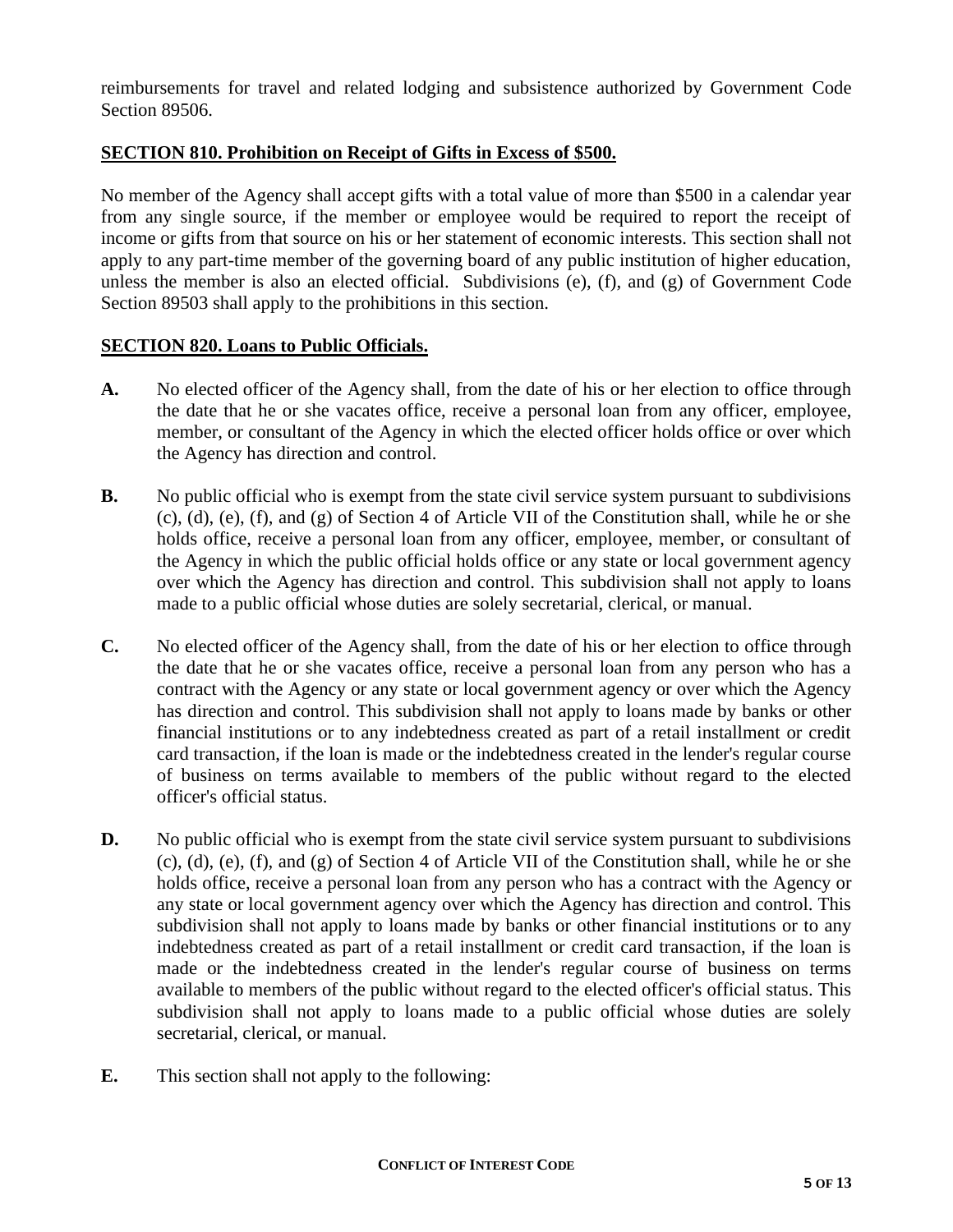reimbursements for travel and related lodging and subsistence authorized by Government Code Section 89506.

## **SECTION 810. Prohibition on Receipt of Gifts in Excess of \$500.**

No member of the Agency shall accept gifts with a total value of more than \$500 in a calendar year from any single source, if the member or employee would be required to report the receipt of income or gifts from that source on his or her statement of economic interests. This section shall not apply to any part-time member of the governing board of any public institution of higher education, unless the member is also an elected official. Subdivisions (e), (f), and (g) of Government Code Section 89503 shall apply to the prohibitions in this section.

## **SECTION 820. Loans to Public Officials.**

- **A.** No elected officer of the Agency shall, from the date of his or her election to office through the date that he or she vacates office, receive a personal loan from any officer, employee, member, or consultant of the Agency in which the elected officer holds office or over which the Agency has direction and control.
- **B.** No public official who is exempt from the state civil service system pursuant to subdivisions (c), (d), (e), (f), and (g) of Section 4 of Article VII of the Constitution shall, while he or she holds office, receive a personal loan from any officer, employee, member, or consultant of the Agency in which the public official holds office or any state or local government agency over which the Agency has direction and control. This subdivision shall not apply to loans made to a public official whose duties are solely secretarial, clerical, or manual.
- **C.** No elected officer of the Agency shall, from the date of his or her election to office through the date that he or she vacates office, receive a personal loan from any person who has a contract with the Agency or any state or local government agency or over which the Agency has direction and control. This subdivision shall not apply to loans made by banks or other financial institutions or to any indebtedness created as part of a retail installment or credit card transaction, if the loan is made or the indebtedness created in the lender's regular course of business on terms available to members of the public without regard to the elected officer's official status.
- **D.** No public official who is exempt from the state civil service system pursuant to subdivisions (c), (d), (e), (f), and (g) of Section 4 of Article VII of the Constitution shall, while he or she holds office, receive a personal loan from any person who has a contract with the Agency or any state or local government agency over which the Agency has direction and control. This subdivision shall not apply to loans made by banks or other financial institutions or to any indebtedness created as part of a retail installment or credit card transaction, if the loan is made or the indebtedness created in the lender's regular course of business on terms available to members of the public without regard to the elected officer's official status. This subdivision shall not apply to loans made to a public official whose duties are solely secretarial, clerical, or manual.
- **E.** This section shall not apply to the following: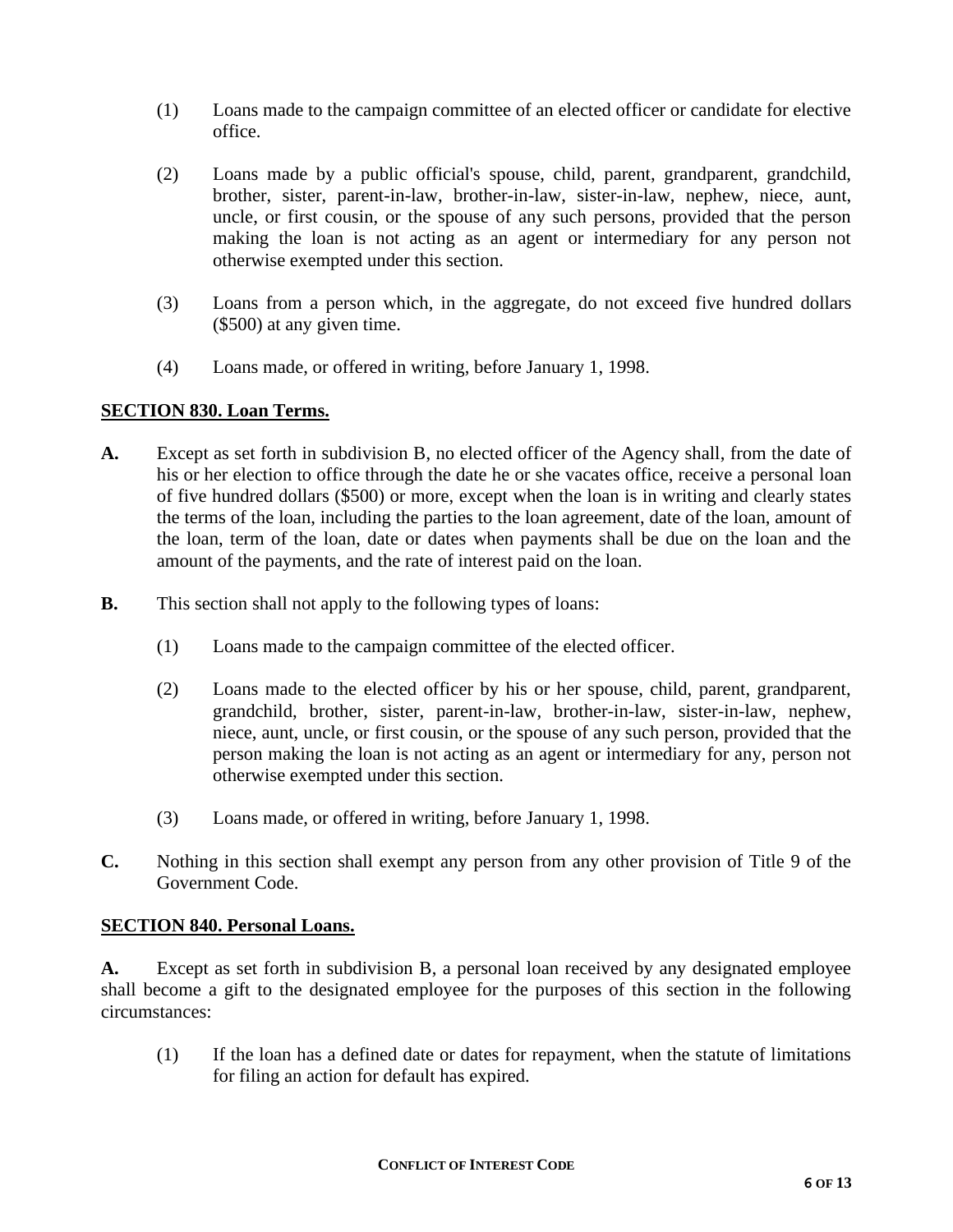- (1) Loans made to the campaign committee of an elected officer or candidate for elective office.
- (2) Loans made by a public official's spouse, child, parent, grandparent, grandchild, brother, sister, parent-in-law, brother-in-law, sister-in-law, nephew, niece, aunt, uncle, or first cousin, or the spouse of any such persons, provided that the person making the loan is not acting as an agent or intermediary for any person not otherwise exempted under this section.
- (3) Loans from a person which, in the aggregate, do not exceed five hundred dollars (\$500) at any given time.
- (4) Loans made, or offered in writing, before January 1, 1998.

## **SECTION 830. Loan Terms.**

- **A.** Except as set forth in subdivision B, no elected officer of the Agency shall, from the date of his or her election to office through the date he or she vacates office, receive a personal loan of five hundred dollars (\$500) or more, except when the loan is in writing and clearly states the terms of the loan, including the parties to the loan agreement, date of the loan, amount of the loan, term of the loan, date or dates when payments shall be due on the loan and the amount of the payments, and the rate of interest paid on the loan.
- **B.** This section shall not apply to the following types of loans:
	- (1) Loans made to the campaign committee of the elected officer.
	- (2) Loans made to the elected officer by his or her spouse, child, parent, grandparent, grandchild, brother, sister, parent-in-law, brother-in-law, sister-in-law, nephew, niece, aunt, uncle, or first cousin, or the spouse of any such person, provided that the person making the loan is not acting as an agent or intermediary for any, person not otherwise exempted under this section.
	- (3) Loans made, or offered in writing, before January 1, 1998.
- **C.** Nothing in this section shall exempt any person from any other provision of Title 9 of the Government Code.

#### **SECTION 840. Personal Loans.**

**A.** Except as set forth in subdivision B, a personal loan received by any designated employee shall become a gift to the designated employee for the purposes of this section in the following circumstances:

(1) If the loan has a defined date or dates for repayment, when the statute of limitations for filing an action for default has expired.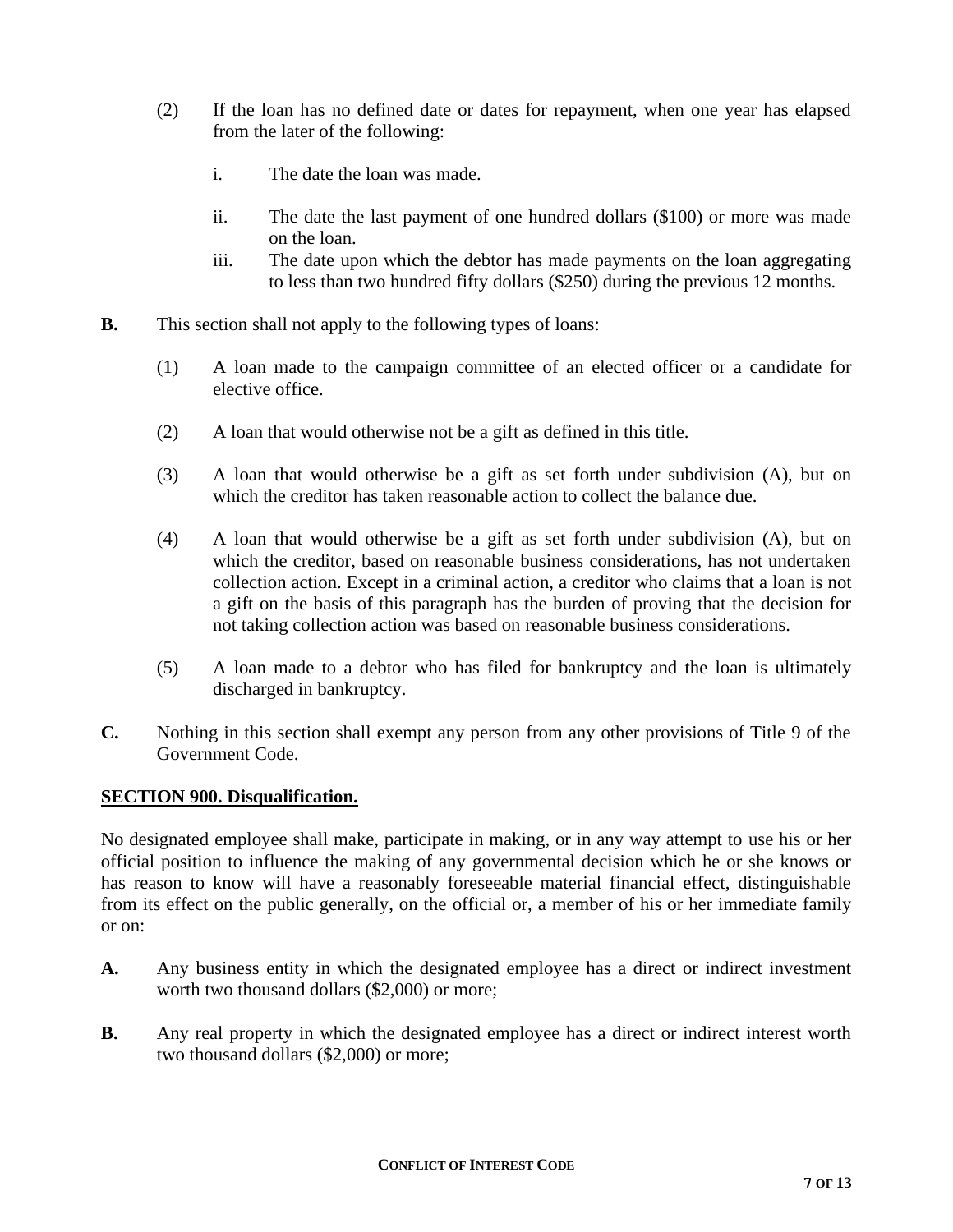- (2) If the loan has no defined date or dates for repayment, when one year has elapsed from the later of the following:
	- i. The date the loan was made.
	- ii. The date the last payment of one hundred dollars (\$100) or more was made on the loan.
	- iii. The date upon which the debtor has made payments on the loan aggregating to less than two hundred fifty dollars (\$250) during the previous 12 months.
- **B.** This section shall not apply to the following types of loans:
	- (1) A loan made to the campaign committee of an elected officer or a candidate for elective office.
	- (2) A loan that would otherwise not be a gift as defined in this title.
	- (3) A loan that would otherwise be a gift as set forth under subdivision (A), but on which the creditor has taken reasonable action to collect the balance due.
	- (4) A loan that would otherwise be a gift as set forth under subdivision (A), but on which the creditor, based on reasonable business considerations, has not undertaken collection action. Except in a criminal action, a creditor who claims that a loan is not a gift on the basis of this paragraph has the burden of proving that the decision for not taking collection action was based on reasonable business considerations.
	- (5) A loan made to a debtor who has filed for bankruptcy and the loan is ultimately discharged in bankruptcy.
- **C.** Nothing in this section shall exempt any person from any other provisions of Title 9 of the Government Code.

#### **SECTION 900. Disqualification.**

No designated employee shall make, participate in making, or in any way attempt to use his or her official position to influence the making of any governmental decision which he or she knows or has reason to know will have a reasonably foreseeable material financial effect, distinguishable from its effect on the public generally, on the official or, a member of his or her immediate family or on:

- **A.** Any business entity in which the designated employee has a direct or indirect investment worth two thousand dollars (\$2,000) or more;
- **B.** Any real property in which the designated employee has a direct or indirect interest worth two thousand dollars (\$2,000) or more;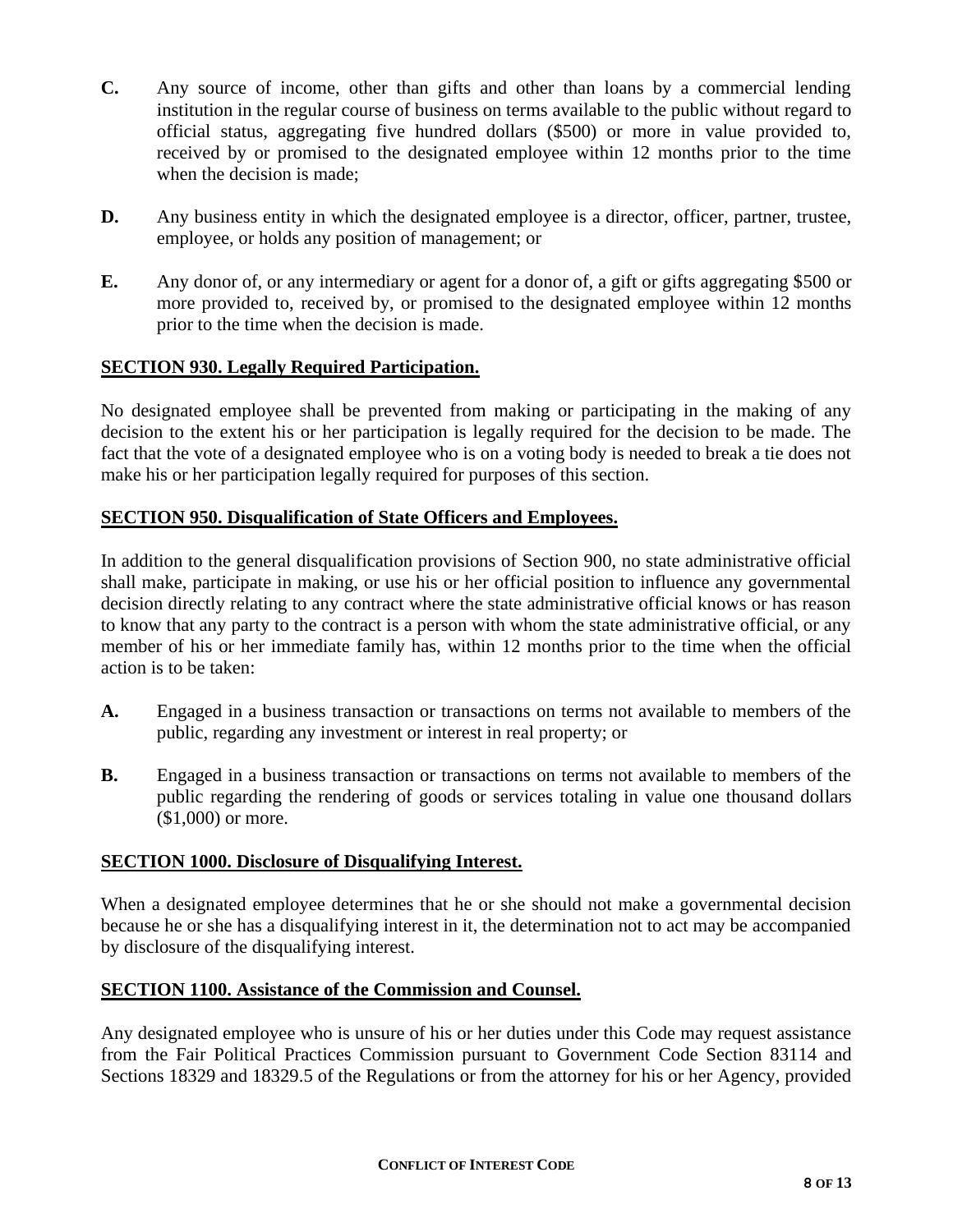- **C.** Any source of income, other than gifts and other than loans by a commercial lending institution in the regular course of business on terms available to the public without regard to official status, aggregating five hundred dollars (\$500) or more in value provided to, received by or promised to the designated employee within 12 months prior to the time when the decision is made;
- **D.** Any business entity in which the designated employee is a director, officer, partner, trustee, employee, or holds any position of management; or
- **E.** Any donor of, or any intermediary or agent for a donor of, a gift or gifts aggregating \$500 or more provided to, received by, or promised to the designated employee within 12 months prior to the time when the decision is made.

## **SECTION 930. Legally Required Participation.**

No designated employee shall be prevented from making or participating in the making of any decision to the extent his or her participation is legally required for the decision to be made. The fact that the vote of a designated employee who is on a voting body is needed to break a tie does not make his or her participation legally required for purposes of this section.

## **SECTION 950. Disqualification of State Officers and Employees.**

In addition to the general disqualification provisions of Section 900, no state administrative official shall make, participate in making, or use his or her official position to influence any governmental decision directly relating to any contract where the state administrative official knows or has reason to know that any party to the contract is a person with whom the state administrative official, or any member of his or her immediate family has, within 12 months prior to the time when the official action is to be taken:

- **A.** Engaged in a business transaction or transactions on terms not available to members of the public, regarding any investment or interest in real property; or
- **B.** Engaged in a business transaction or transactions on terms not available to members of the public regarding the rendering of goods or services totaling in value one thousand dollars (\$1,000) or more.

## **SECTION 1000. Disclosure of Disqualifying Interest.**

When a designated employee determines that he or she should not make a governmental decision because he or she has a disqualifying interest in it, the determination not to act may be accompanied by disclosure of the disqualifying interest.

#### **SECTION 1100. Assistance of the Commission and Counsel.**

Any designated employee who is unsure of his or her duties under this Code may request assistance from the Fair Political Practices Commission pursuant to Government Code Section 83114 and Sections 18329 and 18329.5 of the Regulations or from the attorney for his or her Agency, provided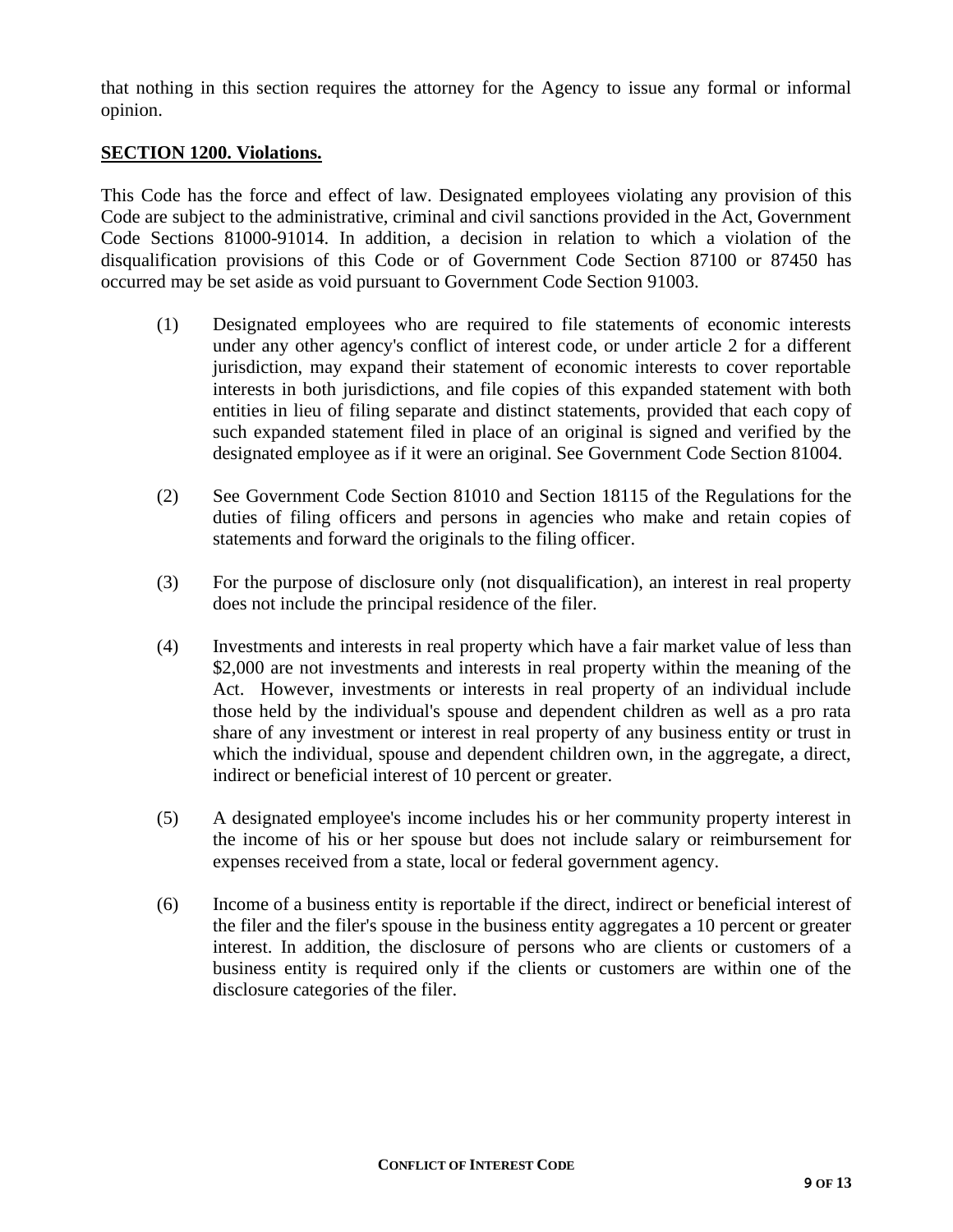that nothing in this section requires the attorney for the Agency to issue any formal or informal opinion.

#### **SECTION 1200. Violations.**

This Code has the force and effect of law. Designated employees violating any provision of this Code are subject to the administrative, criminal and civil sanctions provided in the Act, Government Code Sections 81000-91014. In addition, a decision in relation to which a violation of the disqualification provisions of this Code or of Government Code Section 87100 or 87450 has occurred may be set aside as void pursuant to Government Code Section 91003.

- (1) Designated employees who are required to file statements of economic interests under any other agency's conflict of interest code, or under article 2 for a different jurisdiction, may expand their statement of economic interests to cover reportable interests in both jurisdictions, and file copies of this expanded statement with both entities in lieu of filing separate and distinct statements, provided that each copy of such expanded statement filed in place of an original is signed and verified by the designated employee as if it were an original. See Government Code Section 81004.
- (2) See Government Code Section 81010 and Section 18115 of the Regulations for the duties of filing officers and persons in agencies who make and retain copies of statements and forward the originals to the filing officer.
- (3) For the purpose of disclosure only (not disqualification), an interest in real property does not include the principal residence of the filer.
- (4) Investments and interests in real property which have a fair market value of less than \$2,000 are not investments and interests in real property within the meaning of the Act. However, investments or interests in real property of an individual include those held by the individual's spouse and dependent children as well as a pro rata share of any investment or interest in real property of any business entity or trust in which the individual, spouse and dependent children own, in the aggregate, a direct, indirect or beneficial interest of 10 percent or greater.
- (5) A designated employee's income includes his or her community property interest in the income of his or her spouse but does not include salary or reimbursement for expenses received from a state, local or federal government agency.
- (6) Income of a business entity is reportable if the direct, indirect or beneficial interest of the filer and the filer's spouse in the business entity aggregates a 10 percent or greater interest. In addition, the disclosure of persons who are clients or customers of a business entity is required only if the clients or customers are within one of the disclosure categories of the filer.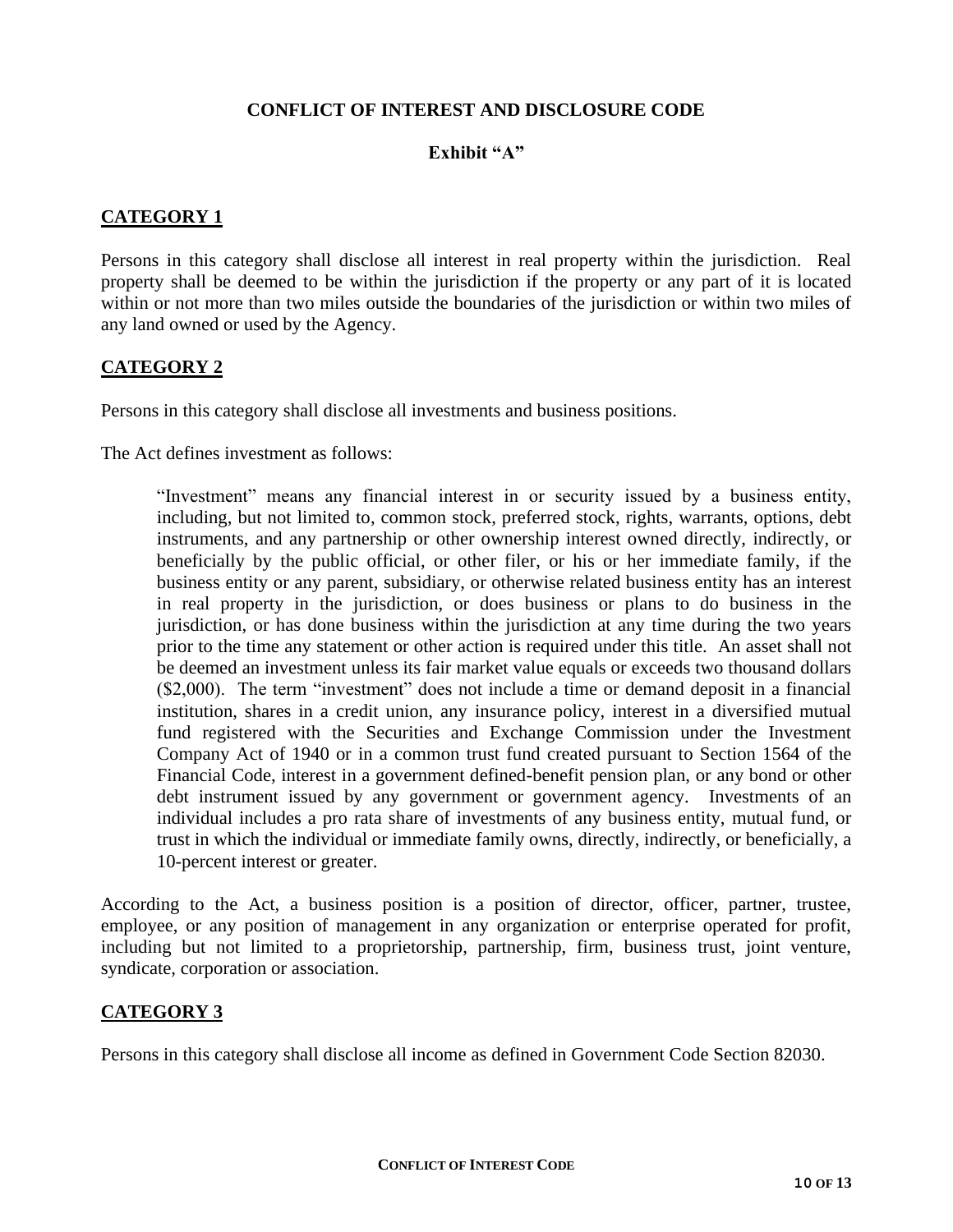## **CONFLICT OF INTEREST AND DISCLOSURE CODE**

## **Exhibit "A"**

## **CATEGORY 1**

Persons in this category shall disclose all interest in real property within the jurisdiction. Real property shall be deemed to be within the jurisdiction if the property or any part of it is located within or not more than two miles outside the boundaries of the jurisdiction or within two miles of any land owned or used by the Agency.

## **CATEGORY 2**

Persons in this category shall disclose all investments and business positions.

The Act defines investment as follows:

"Investment" means any financial interest in or security issued by a business entity, including, but not limited to, common stock, preferred stock, rights, warrants, options, debt instruments, and any partnership or other ownership interest owned directly, indirectly, or beneficially by the public official, or other filer, or his or her immediate family, if the business entity or any parent, subsidiary, or otherwise related business entity has an interest in real property in the jurisdiction, or does business or plans to do business in the jurisdiction, or has done business within the jurisdiction at any time during the two years prior to the time any statement or other action is required under this title. An asset shall not be deemed an investment unless its fair market value equals or exceeds two thousand dollars (\$2,000). The term "investment" does not include a time or demand deposit in a financial institution, shares in a credit union, any insurance policy, interest in a diversified mutual fund registered with the Securities and Exchange Commission under the Investment Company Act of 1940 or in a common trust fund created pursuant to Section 1564 of the Financial Code, interest in a government defined-benefit pension plan, or any bond or other debt instrument issued by any government or government agency. Investments of an individual includes a pro rata share of investments of any business entity, mutual fund, or trust in which the individual or immediate family owns, directly, indirectly, or beneficially, a 10-percent interest or greater.

According to the Act, a business position is a position of director, officer, partner, trustee, employee, or any position of management in any organization or enterprise operated for profit, including but not limited to a proprietorship, partnership, firm, business trust, joint venture, syndicate, corporation or association.

## **CATEGORY 3**

Persons in this category shall disclose all income as defined in Government Code Section 82030.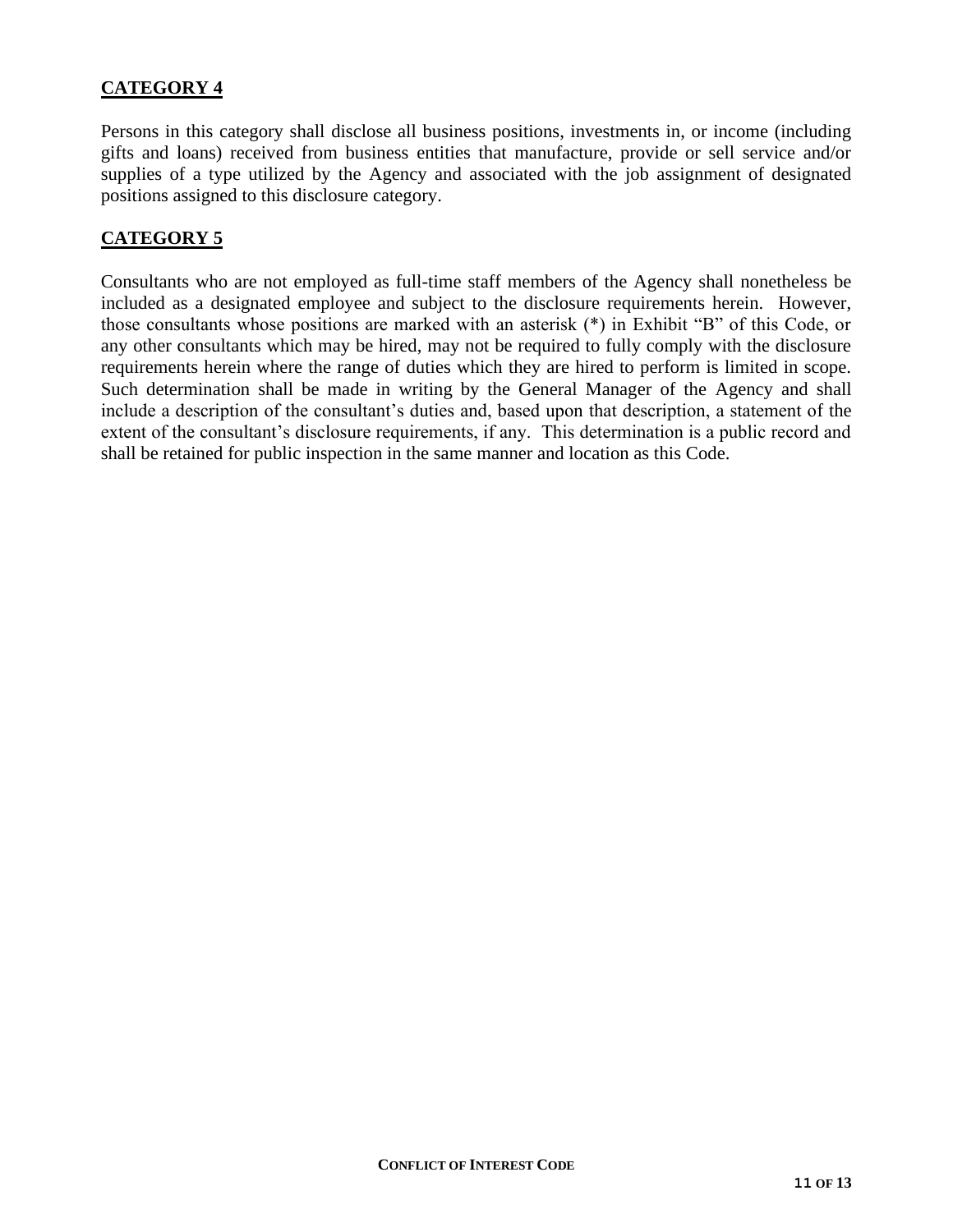# **CATEGORY 4**

Persons in this category shall disclose all business positions, investments in, or income (including gifts and loans) received from business entities that manufacture, provide or sell service and/or supplies of a type utilized by the Agency and associated with the job assignment of designated positions assigned to this disclosure category.

## **CATEGORY 5**

Consultants who are not employed as full-time staff members of the Agency shall nonetheless be included as a designated employee and subject to the disclosure requirements herein. However, those consultants whose positions are marked with an asterisk (\*) in Exhibit "B" of this Code, or any other consultants which may be hired, may not be required to fully comply with the disclosure requirements herein where the range of duties which they are hired to perform is limited in scope. Such determination shall be made in writing by the General Manager of the Agency and shall include a description of the consultant's duties and, based upon that description, a statement of the extent of the consultant's disclosure requirements, if any. This determination is a public record and shall be retained for public inspection in the same manner and location as this Code.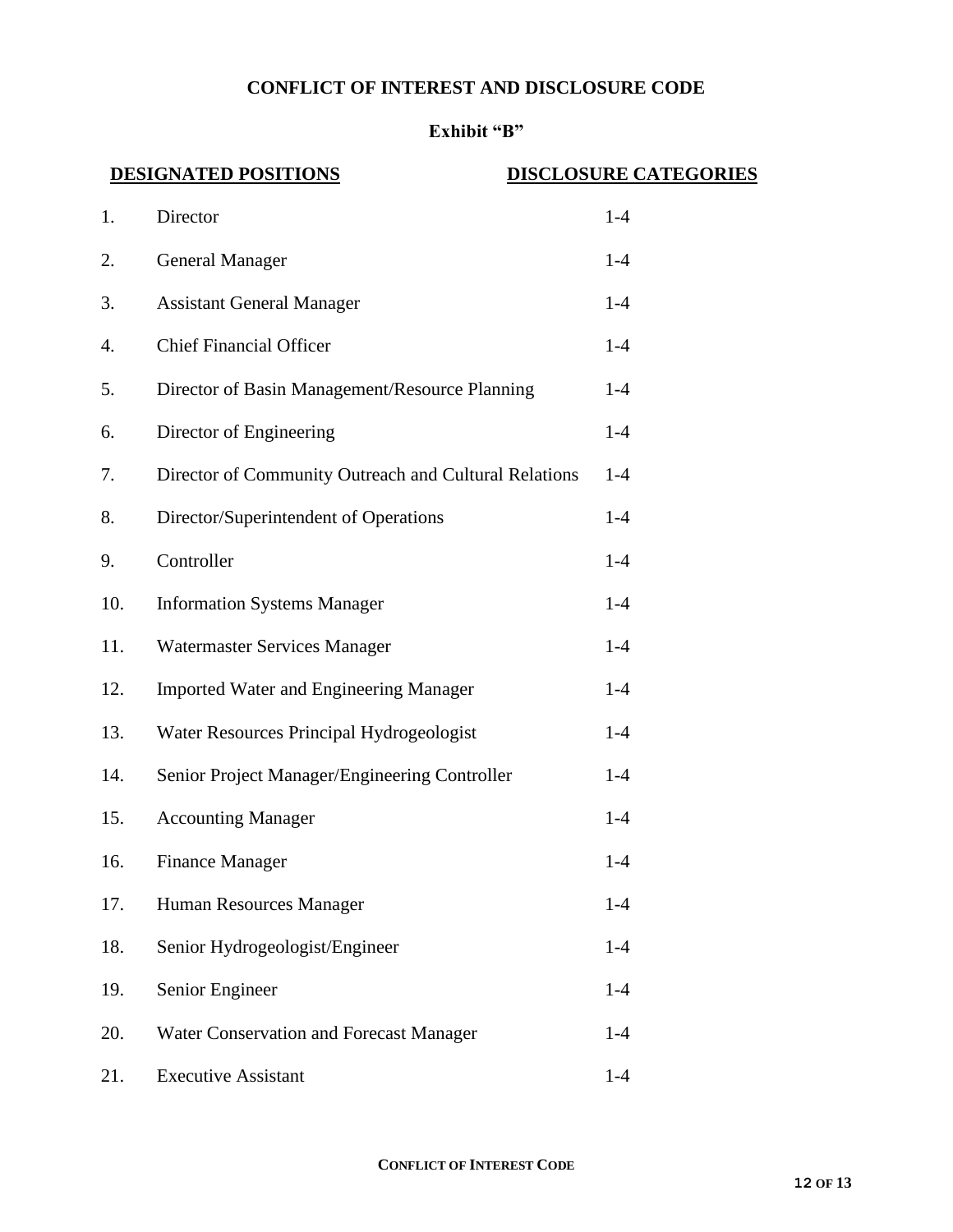## **CONFLICT OF INTEREST AND DISCLOSURE CODE**

# **Exhibit "B"**

## **DESIGNATED POSITIONS** DISCLOSURE CATEGORIES

| 1.  | Director                                              | $1-4$ |
|-----|-------------------------------------------------------|-------|
| 2.  | <b>General Manager</b>                                | $1-4$ |
| 3.  | <b>Assistant General Manager</b>                      | $1-4$ |
| 4.  | <b>Chief Financial Officer</b>                        | $1-4$ |
| 5.  | Director of Basin Management/Resource Planning        | $1-4$ |
| 6.  | Director of Engineering                               | $1-4$ |
| 7.  | Director of Community Outreach and Cultural Relations | $1-4$ |
| 8.  | Director/Superintendent of Operations                 | $1-4$ |
| 9.  | Controller                                            | $1-4$ |
| 10. | <b>Information Systems Manager</b>                    | $1-4$ |
| 11. | Watermaster Services Manager                          | $1-4$ |
| 12. | <b>Imported Water and Engineering Manager</b>         | $1-4$ |
| 13. | Water Resources Principal Hydrogeologist              | $1-4$ |
| 14. | Senior Project Manager/Engineering Controller         | $1-4$ |
| 15. | <b>Accounting Manager</b>                             | $1-4$ |
| 16. | <b>Finance Manager</b>                                | $1-4$ |
| 17. | Human Resources Manager                               | $1-4$ |
| 18. | Senior Hydrogeologist/Engineer                        | $1-4$ |
| 19. | Senior Engineer                                       | $1-4$ |
| 20. | <b>Water Conservation and Forecast Manager</b>        | $1-4$ |
| 21. | <b>Executive Assistant</b>                            | $1-4$ |